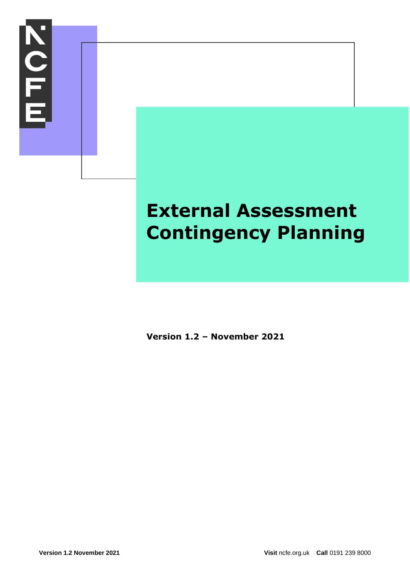

# **External Assessment Contingency Planning**

**Version 1.2 – November 2021**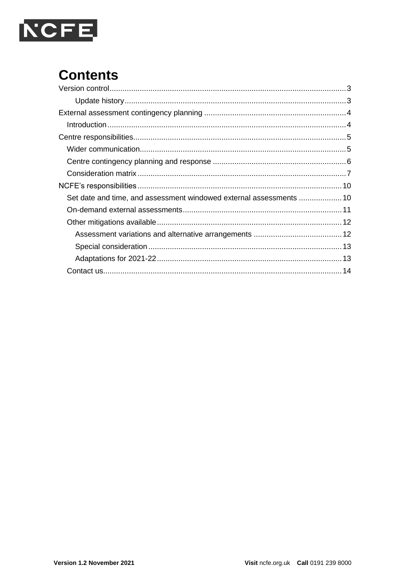

# **Contents**

| Set date and time, and assessment windowed external assessments  10 |  |
|---------------------------------------------------------------------|--|
|                                                                     |  |
|                                                                     |  |
|                                                                     |  |
|                                                                     |  |
|                                                                     |  |
|                                                                     |  |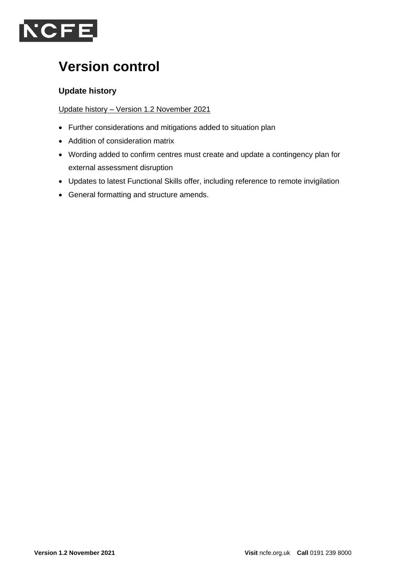

# **Version control**

#### **Update history**

Update history – Version 1.2 November 2021

- Further considerations and mitigations added to situation plan
- Addition of consideration matrix
- Wording added to confirm centres must create and update a contingency plan for external assessment disruption
- Updates to latest Functional Skills offer, including reference to remote invigilation
- General formatting and structure amends.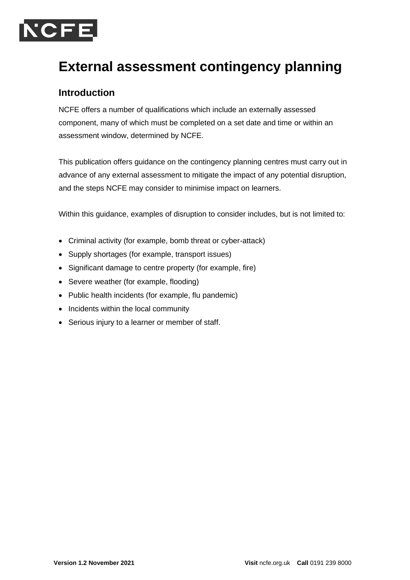

# **External assessment contingency planning**

### **Introduction**

NCFE offers a number of qualifications which include an externally assessed component, many of which must be completed on a set date and time or within an assessment window, determined by NCFE.

This publication offers guidance on the contingency planning centres must carry out in advance of any external assessment to mitigate the impact of any potential disruption, and the steps NCFE may consider to minimise impact on learners.

Within this guidance, examples of disruption to consider includes, but is not limited to:

- Criminal activity (for example, bomb threat or cyber-attack)
- Supply shortages (for example, transport issues)
- Significant damage to centre property (for example, fire)
- Severe weather (for example, flooding)
- Public health incidents (for example, flu pandemic)
- Incidents within the local community
- Serious injury to a learner or member of staff.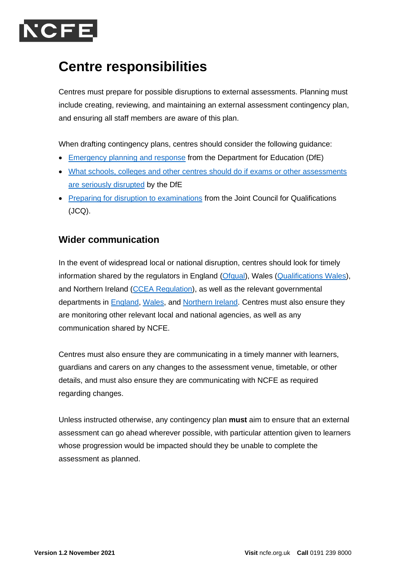

### **Centre responsibilities**

Centres must prepare for possible disruptions to external assessments. Planning must include creating, reviewing, and maintaining an external assessment contingency plan, and ensuring all staff members are aware of this plan.

When drafting contingency plans, centres should consider the following guidance:

- [Emergency planning and response](https://www.gov.uk/guidance/emergencies-and-severe-weather-schools-and-early-years-settings) from the Department for Education (DfE)
- [What schools, colleges and other centres should do if exams or other assessments](https://www.gov.uk/government/publications/exam-system-contingency-plan-england-wales-and-northern-ireland/what-schools-and-colleges-should-do-if-exams-or-other-assessments-are-seriously-disrupted)  [are seriously disrupted](https://www.gov.uk/government/publications/exam-system-contingency-plan-england-wales-and-northern-ireland/what-schools-and-colleges-should-do-if-exams-or-other-assessments-are-seriously-disrupted) by the DfE
- [Preparing for disruption to examinations](https://www.jcq.org.uk/exams-office/other-documents/preparing-for-disruption-to-examinations/) from the Joint Council for Qualifications (JCQ).

### **Wider communication**

In the event of widespread local or national disruption, centres should look for timely information shared by the regulators in England [\(Ofqual\)](https://www.gov.uk/government/organisations/ofqual), Wales [\(Qualifications Wales\)](https://qualificationswales.org/), and Northern Ireland [\(CCEA Regulation\)](https://ccea.org.uk/regulation), as well as the relevant governmental departments in **England, [Wales,](https://gov.wales/education-skills) and Northern Ireland**. Centres must also ensure they are monitoring other relevant local and national agencies, as well as any communication shared by NCFE.

Centres must also ensure they are communicating in a timely manner with learners, guardians and carers on any changes to the assessment venue, timetable, or other details, and must also ensure they are communicating with NCFE as required regarding changes.

Unless instructed otherwise, any contingency plan **must** aim to ensure that an external assessment can go ahead wherever possible, with particular attention given to learners whose progression would be impacted should they be unable to complete the assessment as planned.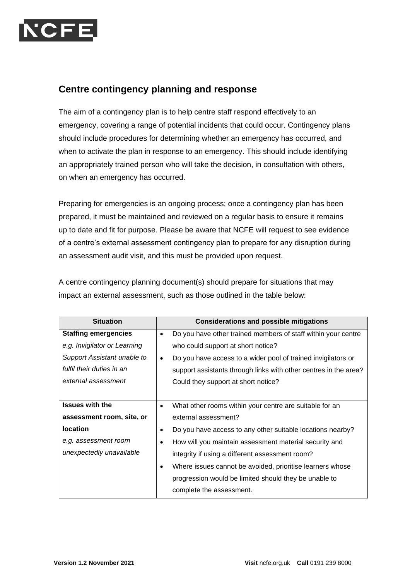

#### **Centre contingency planning and response**

The aim of a contingency plan is to help centre staff respond effectively to an emergency, covering a range of potential incidents that could occur. Contingency plans should include procedures for determining whether an emergency has occurred, and when to activate the plan in response to an emergency. This should include identifying an appropriately trained person who will take the decision, in consultation with others, on when an emergency has occurred.

Preparing for emergencies is an ongoing process; once a contingency plan has been prepared, it must be maintained and reviewed on a regular basis to ensure it remains up to date and fit for purpose. Please be aware that NCFE will request to see evidence of a centre's external assessment contingency plan to prepare for any disruption during an assessment audit visit, and this must be provided upon request.

| <b>Situation</b>             | <b>Considerations and possible mitigations</b>                             |
|------------------------------|----------------------------------------------------------------------------|
| <b>Staffing emergencies</b>  | Do you have other trained members of staff within your centre<br>$\bullet$ |
| e.g. Invigilator or Learning | who could support at short notice?                                         |
| Support Assistant unable to  | Do you have access to a wider pool of trained invigilators or              |
| fulfil their duties in an    | support assistants through links with other centres in the area?           |
| external assessment          | Could they support at short notice?                                        |
|                              |                                                                            |
| <b>Issues with the</b>       | What other rooms within your centre are suitable for an<br>$\bullet$       |
| assessment room, site, or    | external assessment?                                                       |
| <b>location</b>              | Do you have access to any other suitable locations nearby?                 |
| e.g. assessment room         | How will you maintain assessment material security and                     |
| unexpectedly unavailable     | integrity if using a different assessment room?                            |
|                              | Where issues cannot be avoided, prioritise learners whose                  |
|                              | progression would be limited should they be unable to                      |
|                              | complete the assessment.                                                   |

A centre contingency planning document(s) should prepare for situations that may impact an external assessment, such as those outlined in the table below: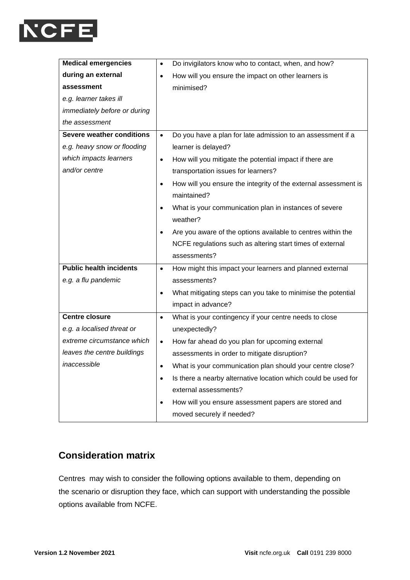

| <b>Medical emergencies</b>       | Do invigilators know who to contact, when, and how?<br>$\bullet$             |  |  |
|----------------------------------|------------------------------------------------------------------------------|--|--|
| during an external               | How will you ensure the impact on other learners is<br>$\bullet$             |  |  |
| assessment                       | minimised?                                                                   |  |  |
| e.g. learner takes ill           |                                                                              |  |  |
| immediately before or during     |                                                                              |  |  |
| the assessment                   |                                                                              |  |  |
| <b>Severe weather conditions</b> | Do you have a plan for late admission to an assessment if a<br>$\bullet$     |  |  |
| e.g. heavy snow or flooding      | learner is delayed?                                                          |  |  |
| which impacts learners           | How will you mitigate the potential impact if there are<br>$\bullet$         |  |  |
| and/or centre                    | transportation issues for learners?                                          |  |  |
|                                  | How will you ensure the integrity of the external assessment is<br>$\bullet$ |  |  |
|                                  | maintained?                                                                  |  |  |
|                                  | What is your communication plan in instances of severe                       |  |  |
|                                  | weather?                                                                     |  |  |
|                                  | Are you aware of the options available to centres within the                 |  |  |
|                                  | NCFE regulations such as altering start times of external                    |  |  |
|                                  | assessments?                                                                 |  |  |
| <b>Public health incidents</b>   | How might this impact your learners and planned external<br>$\bullet$        |  |  |
| e.g. a flu pandemic              | assessments?                                                                 |  |  |
|                                  | What mitigating steps can you take to minimise the potential<br>$\bullet$    |  |  |
|                                  | impact in advance?                                                           |  |  |
| <b>Centre closure</b>            | What is your contingency if your centre needs to close<br>$\bullet$          |  |  |
| e.g. a localised threat or       | unexpectedly?                                                                |  |  |
| extreme circumstance which       | How far ahead do you plan for upcoming external<br>$\bullet$                 |  |  |
| leaves the centre buildings      | assessments in order to mitigate disruption?                                 |  |  |
| inaccessible                     | What is your communication plan should your centre close?                    |  |  |
|                                  | Is there a nearby alternative location which could be used for<br>$\bullet$  |  |  |
|                                  | external assessments?                                                        |  |  |
|                                  | How will you ensure assessment papers are stored and<br>$\bullet$            |  |  |
|                                  | moved securely if needed?                                                    |  |  |

### **Consideration matrix**

Centres may wish to consider the following options available to them, depending on the scenario or disruption they face, which can support with understanding the possible options available from NCFE.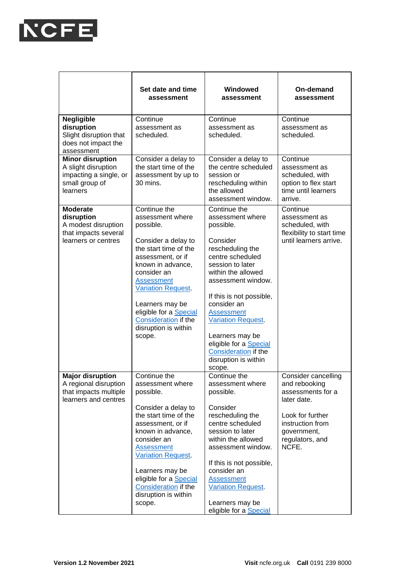

|                                                                                                        | Set date and time<br>assessment                                                                                                                                                                                                                                                                                       | Windowed<br>assessment                                                                                                                                                                                                                                                                                                                                            | On-demand<br>assessment                                                                                                                                            |
|--------------------------------------------------------------------------------------------------------|-----------------------------------------------------------------------------------------------------------------------------------------------------------------------------------------------------------------------------------------------------------------------------------------------------------------------|-------------------------------------------------------------------------------------------------------------------------------------------------------------------------------------------------------------------------------------------------------------------------------------------------------------------------------------------------------------------|--------------------------------------------------------------------------------------------------------------------------------------------------------------------|
| <b>Negligible</b><br>disruption<br>Slight disruption that<br>does not impact the<br>assessment         | Continue<br>assessment as<br>scheduled.                                                                                                                                                                                                                                                                               | Continue<br>assessment as<br>scheduled.                                                                                                                                                                                                                                                                                                                           | Continue<br>assessment as<br>scheduled.                                                                                                                            |
| <b>Minor disruption</b><br>A slight disruption<br>impacting a single, or<br>small group of<br>learners | Consider a delay to<br>the start time of the<br>assessment by up to<br>30 mins.                                                                                                                                                                                                                                       | Consider a delay to<br>the centre scheduled<br>session or<br>rescheduling within<br>the allowed<br>assessment window.                                                                                                                                                                                                                                             | Continue<br>assessment as<br>scheduled, with<br>option to flex start<br>time until learners<br>arrive.                                                             |
| <b>Moderate</b><br>disruption<br>A modest disruption<br>that impacts several<br>learners or centres    | Continue the<br>assessment where<br>possible.<br>Consider a delay to<br>the start time of the<br>assessment, or if<br>known in advance,<br>consider an<br><b>Assessment</b><br><b>Variation Request</b><br>Learners may be<br>eligible for a Special<br>Consideration if the<br>disruption is within<br>scope.        | Continue the<br>assessment where<br>possible.<br>Consider<br>rescheduling the<br>centre scheduled<br>session to later<br>within the allowed<br>assessment window.<br>If this is not possible,<br>consider an<br><b>Assessment</b><br><b>Variation Request</b><br>Learners may be<br>eligible for a Special<br><b>Consideration if the</b><br>disruption is within | Continue<br>assessment as<br>scheduled, with<br>flexibility to start time<br>until learners arrive.                                                                |
| <b>Major disruption</b><br>A regional disruption<br>that impacts multiple<br>learners and centres      | Continue the<br>assessment where<br>possible.<br>Consider a delay to<br>the start time of the<br>assessment, or if<br>known in advance,<br>consider an<br><b>Assessment</b><br><b>Variation Request</b><br>Learners may be<br>eligible for a <b>Special</b><br>Consideration if the<br>disruption is within<br>scope. | scope.<br>Continue the<br>assessment where<br>possible.<br>Consider<br>rescheduling the<br>centre scheduled<br>session to later<br>within the allowed<br>assessment window.<br>If this is not possible,<br>consider an<br><b>Assessment</b><br><b>Variation Request</b><br>Learners may be<br>eligible for a Special                                              | <b>Consider cancelling</b><br>and rebooking<br>assessments for a<br>later date.<br>Look for further<br>instruction from<br>government,<br>regulators, and<br>NCFE. |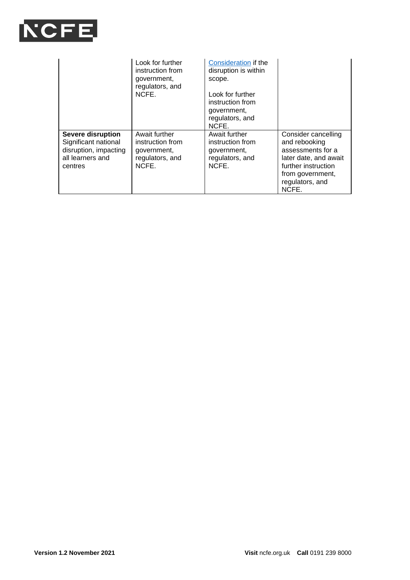

|                                                                                                          | Look for further<br>instruction from<br>government,<br>regulators, and<br>NCFE. | <b>Consideration if the</b><br>disruption is within<br>scope.<br>Look for further<br>instruction from<br>government,<br>regulators, and<br>NCFE. |                                                                                                                                                           |
|----------------------------------------------------------------------------------------------------------|---------------------------------------------------------------------------------|--------------------------------------------------------------------------------------------------------------------------------------------------|-----------------------------------------------------------------------------------------------------------------------------------------------------------|
| <b>Severe disruption</b><br>Significant national<br>disruption, impacting<br>all learners and<br>centres | Await further<br>instruction from<br>government,<br>regulators, and<br>NCFE.    | Await further<br>instruction from<br>government,<br>regulators, and<br>NCFE.                                                                     | Consider cancelling<br>and rebooking<br>assessments for a<br>later date, and await<br>further instruction<br>from government,<br>regulators, and<br>NCFE. |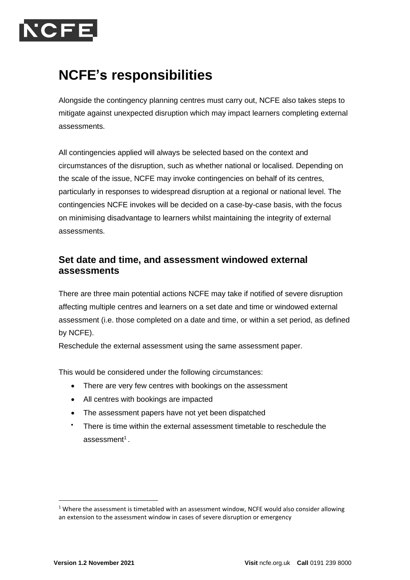

# **NCFE's responsibilities**

Alongside the contingency planning centres must carry out, NCFE also takes steps to mitigate against unexpected disruption which may impact learners completing external assessments.

All contingencies applied will always be selected based on the context and circumstances of the disruption, such as whether national or localised. Depending on the scale of the issue, NCFE may invoke contingencies on behalf of its centres, particularly in responses to widespread disruption at a regional or national level. The contingencies NCFE invokes will be decided on a case-by-case basis, with the focus on minimising disadvantage to learners whilst maintaining the integrity of external assessments.

### **Set date and time, and assessment windowed external assessments**

There are three main potential actions NCFE may take if notified of severe disruption affecting multiple centres and learners on a set date and time or windowed external assessment (i.e. those completed on a date and time, or within a set period, as defined by NCFE).

Reschedule the external assessment using the same assessment paper.

This would be considered under the following circumstances:

- There are very few centres with bookings on the assessment
- All centres with bookings are impacted
- The assessment papers have not yet been dispatched
- There is time within the external assessment timetable to reschedule the assessment $^{\rm 1}$  .

 $1$  Where the assessment is timetabled with an assessment window, NCFE would also consider allowing an extension to the assessment window in cases of severe disruption or emergency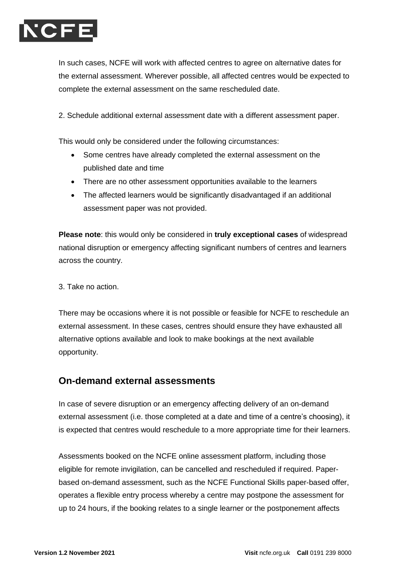

In such cases, NCFE will work with affected centres to agree on alternative dates for the external assessment. Wherever possible, all affected centres would be expected to complete the external assessment on the same rescheduled date.

2. Schedule additional external assessment date with a different assessment paper.

This would only be considered under the following circumstances:

- Some centres have already completed the external assessment on the published date and time
- There are no other assessment opportunities available to the learners
- The affected learners would be significantly disadvantaged if an additional assessment paper was not provided.

**Please note**: this would only be considered in **truly exceptional cases** of widespread national disruption or emergency affecting significant numbers of centres and learners across the country.

3. Take no action.

There may be occasions where it is not possible or feasible for NCFE to reschedule an external assessment. In these cases, centres should ensure they have exhausted all alternative options available and look to make bookings at the next available opportunity.

#### **On-demand external assessments**

In case of severe disruption or an emergency affecting delivery of an on-demand external assessment (i.e. those completed at a date and time of a centre's choosing), it is expected that centres would reschedule to a more appropriate time for their learners.

Assessments booked on the NCFE online assessment platform, including those eligible for remote invigilation, can be cancelled and rescheduled if required. Paperbased on-demand assessment, such as the NCFE Functional Skills paper-based offer, operates a flexible entry process whereby a centre may postpone the assessment for up to 24 hours, if the booking relates to a single learner or the postponement affects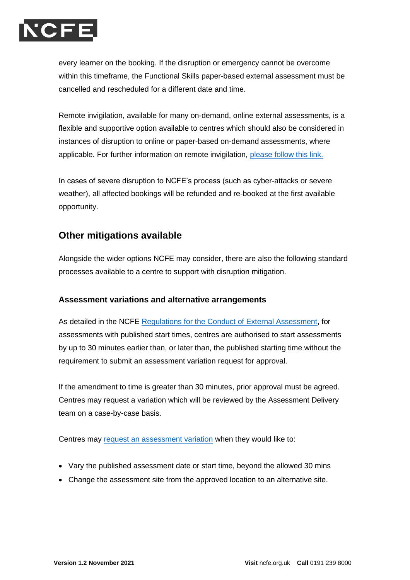

every learner on the booking. If the disruption or emergency cannot be overcome within this timeframe, the Functional Skills paper-based external assessment must be cancelled and rescheduled for a different date and time.

Remote invigilation, available for many on-demand, online external assessments, is a flexible and supportive option available to centres which should also be considered in instances of disruption to online or paper-based on-demand assessments, where applicable. For further information on remote invigilation, [please follow this link.](https://www.qualhub.co.uk/delivery-and-learner-support/remote-invigilation/)

In cases of severe disruption to NCFE's process (such as cyber-attacks or severe weather), all affected bookings will be refunded and re-booked at the first available opportunity.

### **Other mitigations available**

Alongside the wider options NCFE may consider, there are also the following standard processes available to a centre to support with disruption mitigation.

#### **Assessment variations and alternative arrangements**

As detailed in the NCFE [Regulations for the Conduct of External Assessment,](https://www.qualhub.co.uk/policies-documents/assessment-regulations/) for assessments with published start times, centres are authorised to start assessments by up to 30 minutes earlier than, or later than, the published starting time without the requirement to submit an assessment variation request for approval.

If the amendment to time is greater than 30 minutes, prior approval must be agreed. Centres may request a variation which will be reviewed by the Assessment Delivery team on a case-by-case basis.

Centres may [request an assessment variation](https://www.qualhub.co.uk/delivery-and-learner-support/forms/) when they would like to:

- Vary the published assessment date or start time, beyond the allowed 30 mins
- Change the assessment site from the approved location to an alternative site.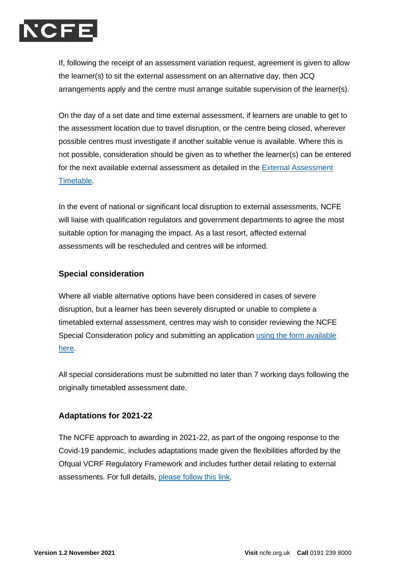

If, following the receipt of an assessment variation request, agreement is given to allow the learner(s) to sit the external assessment on an alternative day, then JCQ arrangements apply and the centre must arrange suitable supervision of the learner(s).

On the day of a set date and time external assessment, if learners are unable to get to the assessment location due to travel disruption, or the centre being closed, wherever possible centres must investigate if another suitable venue is available. Where this is not possible, consideration should be given as to whether the learner(s) can be entered for the next available external assessment as detailed in the [External Assessment](https://www.qualhub.co.uk/delivery-and-learner-support/external-assessment-timetable/)  [Timetable.](https://www.qualhub.co.uk/delivery-and-learner-support/external-assessment-timetable/)

In the event of national or significant local disruption to external assessments, NCFE will liaise with qualification regulators and government departments to agree the most suitable option for managing the impact. As a last resort, affected external assessments will be rescheduled and centres will be informed.

#### **Special consideration**

Where all viable alternative options have been considered in cases of severe disruption, but a learner has been severely disrupted or unable to complete a timetabled external assessment, centres may wish to consider reviewing the NCFE Special Consideration policy and submitting an application [using the form available](https://www.qualhub.co.uk/delivery-and-learner-support/forms/)  [here.](https://www.qualhub.co.uk/delivery-and-learner-support/forms/)

All special considerations must be submitted no later than 7 working days following the originally timetabled assessment date.

#### **Adaptations for 2021-22**

The NCFE approach to awarding in 2021-22, as part of the ongoing response to the Covid-19 pandemic, includes adaptations made given the flexibilities afforded by the Ofqual VCRF Regulatory Framework and includes further detail relating to external assessments. For full details, [please follow this link.](https://www.ncfe.org.uk/approach-to-awarding/approach-to-awarding-for-2021-22/)